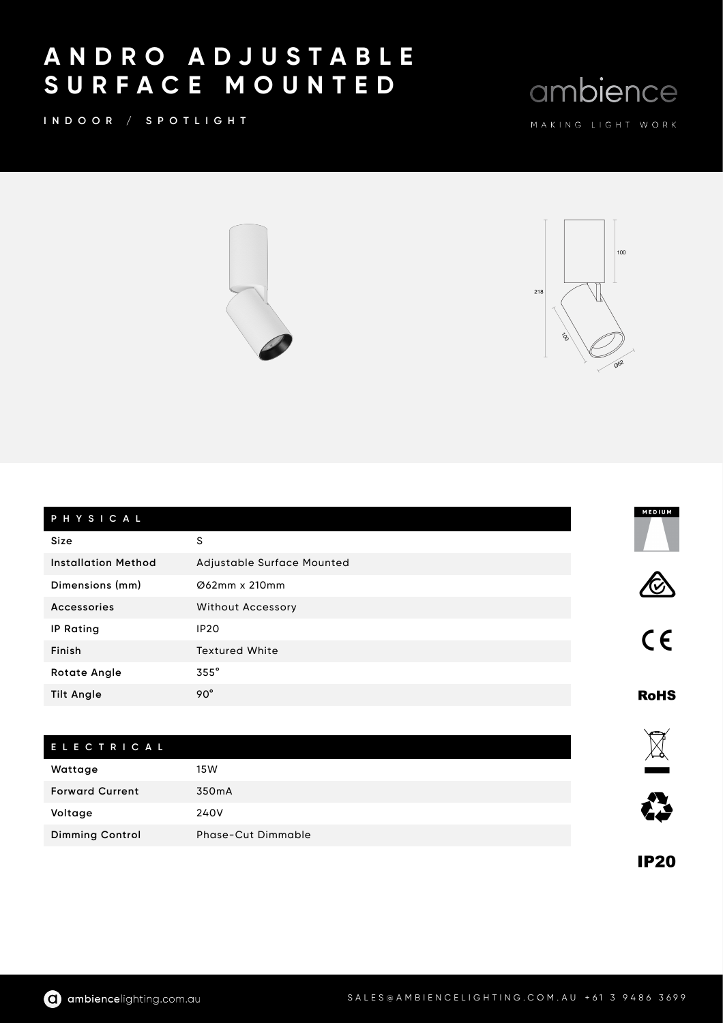## A N D R O A D J U S T A B L E S U R F A C E M O U N T E D

INDOOR / SPOTLIGHT

 $100$ 

ambience



| PHYSICAL                   |                            | MEDIUM      |
|----------------------------|----------------------------|-------------|
| Size                       | S                          |             |
| <b>Installation Method</b> | Adjustable Surface Mounted |             |
| Dimensions (mm)            | Ø62mm x 210mm              |             |
| <b>Accessories</b>         | <b>Without Accessory</b>   |             |
| <b>IP Rating</b>           | <b>IP20</b>                | $C \in$     |
| Finish                     | <b>Textured White</b>      |             |
| <b>Rotate Angle</b>        | 355°                       |             |
| <b>Tilt Angle</b>          | $90^\circ$                 | <b>RoHS</b> |
|                            |                            |             |
| <b>ELECTRICAL</b>          |                            |             |
| Wattage                    | 15W                        |             |
| <b>Forward Current</b>     | 350mA                      |             |
| Voltage                    | 240V                       |             |
| <b>Dimming Control</b>     | <b>Phase-Cut Dimmable</b>  |             |

**IP20**